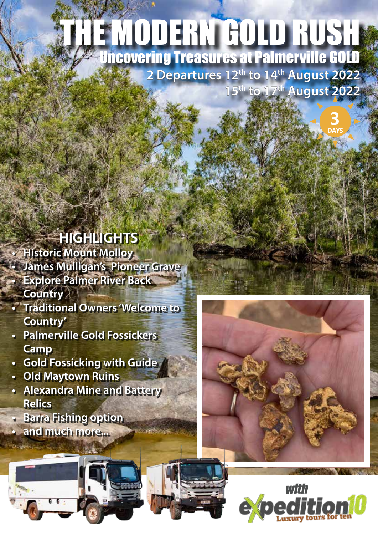# THE MODERN GOLD RUSH Uncovering Treasures at Palmerville GOLD

**2 Departures 12th to 14th August 2022 15th to 17th August 2022**

> **3 DAYS**

### **HIGHLIGHTS**

**• Historic Mount Molloy • James Mulligan's Pioneer Grave • Explore Palmer River Back Country**

- **Traditional Owners 'Welcome to Country'**
- **Palmerville Gold Fossickers Camp**
- **Gold Fossicking with Guide**
- **Old Maytown Ruins**
- **Alexandra Mine and Battery Relics**
- **Barra Fishing option**
- **and much more...**



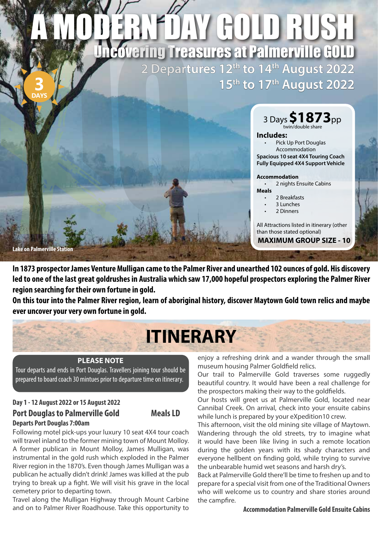### **2 Departures 12th to 14th August 2022 15th to 17th August 2022** ARY DAY GOLD RUSH Uncovering Treasures at Palmerville GOLD **3**



3 Days**\$1873**pp twin/double share

#### **Includes:**

Pick Up Port Douglas Accommodation **Spacious 10 seat 4X4 Touring Coach Fully Equipped 4X4 Support Vehicle**

#### **Accommodation**

2 nights Ensuite Cabins **Meals**

- 2 Breakfasts
- 3 Lunches
- 2 Dinners

All Attractions listed in itinerary (other than those stated optional) **MAXIMUM GROUP SIZE - 10**

**Lake on Palmerville Station**

**DAYS**

**In 1873 prospector James Venture Mulligan came to the Palmer River and unearthed 102 ounces of gold. His discovery led to one of the last great goldrushes in Australia which saw 17,000 hopeful prospectors exploring the Palmer River region searching for their own fortune in gold.** 

**On this tour into the Palmer River region, learn of aboriginal history, discover Maytown Gold town relics and maybe ever uncover your very own fortune in gold.**

## **ITINERARY**

#### **PLEASE NOTE**

Tour departs and ends in Port Douglas. Travellers joining tour should be prepared to board coach 30 mintues prior to departure time on itinerary.

#### **Day 1 - 12 August 2022 or 15 August 2022 Port Douglas to Palmerville Gold Meals LD Departs Port Douglas 7:00am**



Following motel pick-ups your luxury 10 seat 4X4 tour coach will travel inland to the former mining town of Mount Molloy. A former publican in Mount Molloy, James Mulligan, was instrumental in the gold rush which exploded in the Palmer River region in the 1870's. Even though James Mulligan was a publican he actually didn't drink! James was killed at the pub trying to break up a fight. We will visit his grave in the local cemetery prior to departing town.

Travel along the Mulligan Highway through Mount Carbine and on to Palmer River Roadhouse. Take this opportunity to enjoy a refreshing drink and a wander through the small museum housing Palmer Goldfield relics.

Our trail to Palmerville Gold traverses some ruggedly beautiful country. It would have been a real challenge for the prospectors making their way to the goldfields.

Our hosts will greet us at Palmerville Gold, located near Cannibal Creek. On arrival, check into your ensuite cabins while lunch is prepared by your eXpedition10 crew.

This afternoon, visit the old mining site village of Maytown. Wandering through the old streets, try to imagine what it would have been like living in such a remote location during the golden years with its shady characters and everyone hellbent on finding gold, while trying to survive the unbearable humid wet seasons and harsh dry's.

Back at Palmerville Gold there'll be time to freshen up and to prepare for a special visit from one of the Traditional Owners who will welcome us to country and share stories around the campfire.

#### **Accommodation Palmerville Gold Ensuite Cabins**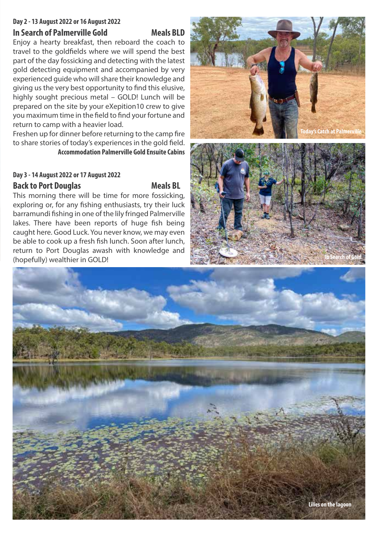### **Day 2 - 13 August 2022 or 16 August 2022**

#### **In Search of Palmerville Gold Meals BLD**

Enjoy a hearty breakfast, then reboard the coach to travel to the goldfields where we will spend the best part of the day fossicking and detecting with the latest gold detecting equipment and accompanied by very experienced guide who will share their knowledge and giving us the very best opportunity to find this elusive, highly sought precious metal – GOLD! Lunch will be prepared on the site by your eXepition10 crew to give you maximum time in the field to find your fortune and return to camp with a heavier load.

Freshen up for dinner before returning to the camp fire to share stories of today's experiences in the gold field. **Accommodation Palmerville Gold Ensuite Cabins**

#### **Day 3 - 14 August 2022 or 17 August 2022**

#### **Back to Port Douglas Meals BL**

This morning there will be time for more fossicking, exploring or, for any fishing enthusiasts, try their luck barramundi fishing in one of the lily fringed Palmerville lakes. There have been reports of huge fish being caught here. Good Luck. You never know, we may even be able to cook up a fresh fish lunch. Soon after lunch, return to Port Douglas awash with knowledge and (hopefully) wealthier in GOLD!